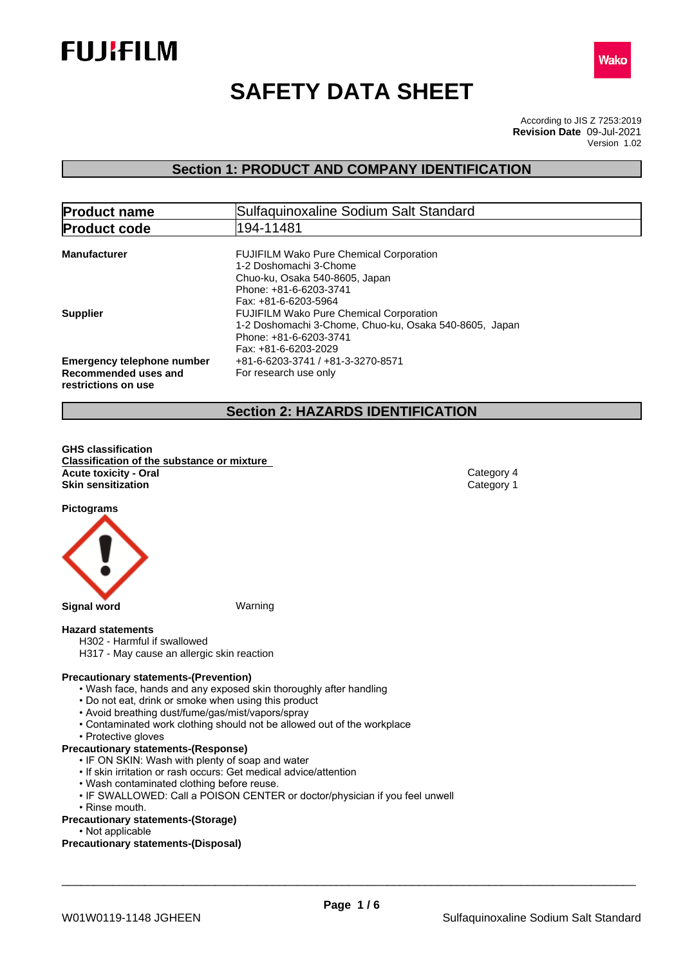



# **SAFETY DATA SHEET**

According to JIS Z 7253:2019 Version 1.02 **Revision Date** 09-Jul-2021

## **Section 1: PRODUCT AND COMPANY IDENTIFICATION**

| <b>Product name</b>                                                              | Sulfaquinoxaline Sodium Salt Standard                                                                                                                        |  |  |
|----------------------------------------------------------------------------------|--------------------------------------------------------------------------------------------------------------------------------------------------------------|--|--|
| <b>Product code</b>                                                              | 194-11481                                                                                                                                                    |  |  |
| <b>Manufacturer</b>                                                              | <b>FUJIFILM Wako Pure Chemical Corporation</b><br>1-2 Doshomachi 3-Chome<br>Chuo-ku, Osaka 540-8605, Japan<br>Phone: +81-6-6203-3741<br>Fax: +81-6-6203-5964 |  |  |
| <b>Supplier</b>                                                                  | <b>FUJIFILM Wako Pure Chemical Corporation</b><br>1-2 Doshomachi 3-Chome, Chuo-ku, Osaka 540-8605, Japan<br>Phone: +81-6-6203-3741<br>Fax: +81-6-6203-2029   |  |  |
| <b>Emergency telephone number</b><br>Recommended uses and<br>restrictions on use | +81-6-6203-3741 / +81-3-3270-8571<br>For research use only                                                                                                   |  |  |

## **Section 2: HAZARDS IDENTIFICATION**

**GHS classification Classification of the substance or mixture Acute toxicity - Oral** Category 4 **Skin sensitization** Category 1

**Pictograms**



#### **Hazard statements**

- H302 Harmful if swallowed
- H317 May cause an allergic skin reaction

#### **Precautionary statements-(Prevention)**

- Wash face, hands and any exposed skin thoroughly after handling
- Do not eat, drink or smoke when using this product
- Avoid breathing dust/fume/gas/mist/vapors/spray
- Contaminated work clothing should not be allowed out of the workplace
- Protective gloves

#### **Precautionary statements-(Response)**

- IF ON SKIN: Wash with plenty of soap and water
- If skin irritation or rash occurs: Get medical advice/attention
- Wash contaminated clothing before reuse.
- IF SWALLOWED: Call a POISON CENTER or doctor/physician if you feel unwell
- Rinse mouth.

#### **Precautionary statements-(Storage)**

• Not applicable

#### **Precautionary statements-(Disposal)**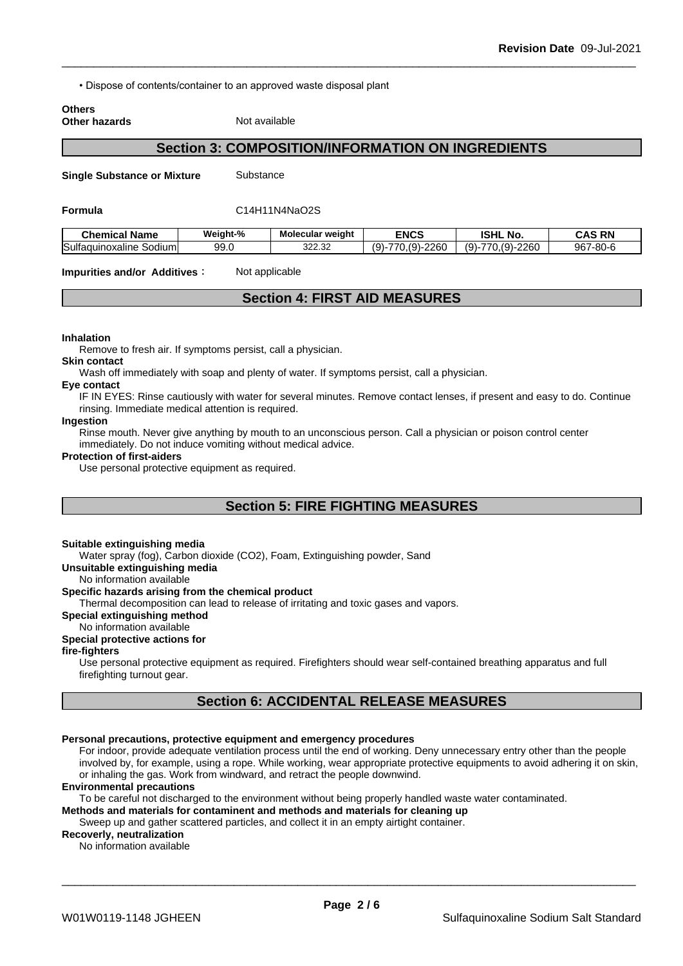• Dispose of contents/container to an approved waste disposal plant

#### **Others Other hazards** Not available

## **Section 3: COMPOSITION/INFORMATION ON INGREDIENTS**

**Single Substance or Mixture** Substance

#### **Formula** C14H11N4NaO2S

| . Name<br>Chemical                | Weight-% | Molecular weight      | <b>ENCS</b>                                  | <b>ISHL</b><br>NΟ                       | <b>RN</b><br><b>CAS</b>          |
|-----------------------------------|----------|-----------------------|----------------------------------------------|-----------------------------------------|----------------------------------|
| Sulfaqui<br>uinoxaline<br>Sodiuml | 99.0     | ממ מממ<br>327<br>ےں.ے | $(9)$ -<br>0.000<br>∽<br>$- -$<br>260<br>۱ س | $-2260$<br>$(9)$ -<br>$\sim$<br>-<br>u. | 967<br>$-$ 80- $\epsilon$<br>·ou |

**Impurities and/or Additives Conservant Studies** 

## **Section 4: FIRST AID MEASURES**

#### **Inhalation**

Remove to fresh air. If symptoms persist, call a physician.

### **Skin contact**

Wash off immediately with soap and plenty of water. If symptoms persist, call a physician.

#### **Eye contact**

IF IN EYES: Rinse cautiously with water for several minutes. Remove contact lenses, if present and easy to do. Continue rinsing. Immediate medical attention is required.

#### **Ingestion**

Rinse mouth. Never give anything by mouth to an unconscious person. Call a physician or poison control center immediately. Do not induce vomiting without medical advice.

#### **Protection of first-aiders**

Use personal protective equipment as required.

## **Section 5: FIRE FIGHTING MEASURES**

#### **Suitable extinguishing media**

Water spray (fog), Carbon dioxide (CO2), Foam, Extinguishing powder, Sand

**Unsuitable extinguishing media**

No information available

#### **Specific hazards arising from the chemical product**

Thermal decomposition can lead to release of irritating and toxic gases and vapors.

#### **Special extinguishing method**

No information available

### **Special protective actions for**

### **fire-fighters**

Use personal protective equipment as required.Firefighters should wear self-contained breathing apparatus and full firefighting turnout gear.

## **Section 6: ACCIDENTAL RELEASE MEASURES**

#### **Personal precautions, protective equipment and emergency procedures**

For indoor, provide adequate ventilation process until the end of working. Deny unnecessary entry other than the people involved by, for example, using a rope. While working, wear appropriate protective equipments to avoid adhering it on skin, or inhaling the gas. Work from windward, and retract the people downwind.

#### **Environmental precautions**

To be careful not discharged to the environment without being properly handled waste water contaminated.

#### **Methods and materials for contaminent and methods and materials for cleaning up**

Sweep up and gather scattered particles, and collect it in an empty airtight container.

#### **Recoverly, neutralization**

No information available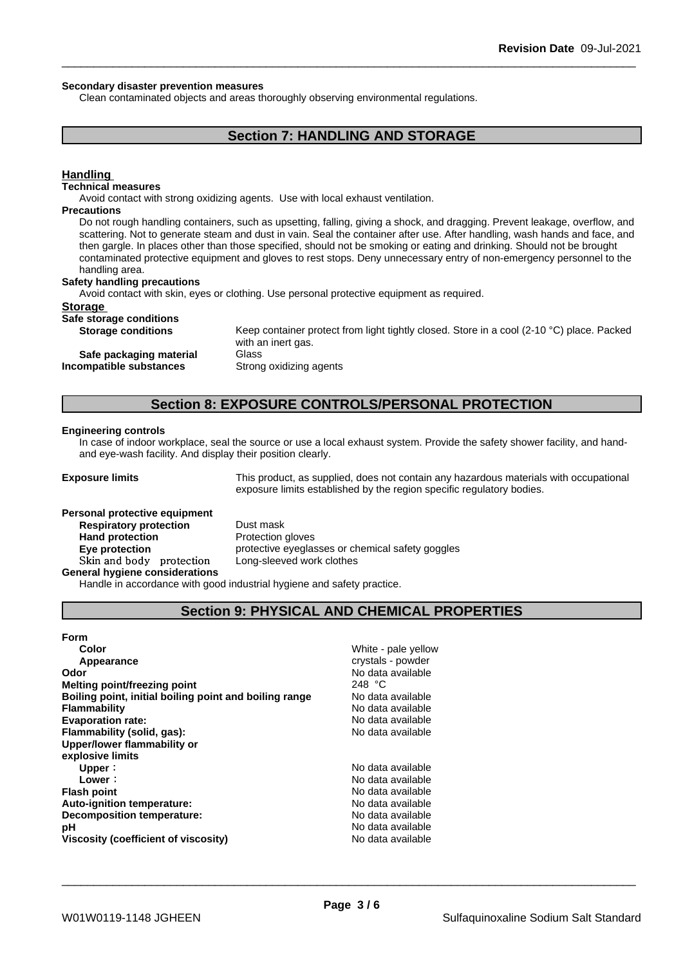#### **Secondary disaster prevention measures**

Clean contaminated objects and areas thoroughly observing environmental regulations.

## **Section 7: HANDLING AND STORAGE**

### **Handling**

#### **Technical measures**

Avoid contact with strong oxidizing agents. Use with local exhaust ventilation.

#### **Precautions**

Do not rough handling containers, such as upsetting, falling, giving a shock, and dragging. Prevent leakage, overflow, and scattering. Not to generate steam and dust in vain. Seal the container after use. After handling, wash hands and face, and then gargle. In places other than those specified, should not be smoking or eating and drinking. Should not be brought contaminated protective equipment and gloves to rest stops. Deny unnecessary entry of non-emergency personnel to the handling area.

#### **Safety handling precautions**

Avoid contact with skin, eyes or clothing. Use personal protective equipment as required.

#### **Storage**

#### **Safe storage conditions**

**Safe packaging material** Glass **Incompatible substances** Strong oxidizing agents

**Storage conditions** Keep container protect from light tightly closed. Store in a cool (2-10 °C) place. Packed with an inert gas.

## **Section 8: EXPOSURE CONTROLS/PERSONAL PROTECTION**

#### **Engineering controls**

In case of indoor workplace, seal the source or use a local exhaust system. Provide the safety shower facility, and handand eye-wash facility. And display their position clearly.

**Exposure limits** This product, as supplied, does not contain any hazardous materials with occupational exposure limits established by the region specific regulatory bodies.

## **Personal protective equipment**<br>**Respiratory protection** Dust mask **Respiratory** protection **Hand protection** Protection gloves **Skinandbody protection** Long-sleeved work clothes **General hygiene considerations**

**Eye protection Eye protective** eyeglasses or chemical safety goggles

Handle in accordance with good industrial hygiene and safety practice.

## **Section 9: PHYSICAL AND CHEMICAL PROPERTIES**

| <b>Form</b>                                            |                     |
|--------------------------------------------------------|---------------------|
| Color                                                  | White - pale yellow |
| Appearance                                             | crystals - powder   |
| Odor                                                   | No data available   |
| <b>Melting point/freezing point</b>                    | 248 °C              |
| Boiling point, initial boiling point and boiling range | No data available   |
| <b>Flammability</b>                                    | No data available   |
| <b>Evaporation rate:</b>                               | No data available   |
| Flammability (solid, gas):                             | No data available   |
| Upper/lower flammability or                            |                     |
| explosive limits                                       |                     |
| Upper:                                                 | No data available   |
| Lower:                                                 | No data available   |
| <b>Flash point</b>                                     | No data available   |
| Auto-ignition temperature:                             | No data available   |
| Decomposition temperature:                             | No data available   |
| рH                                                     | No data available   |
| Viscosity (coefficient of viscosity)                   | No data available   |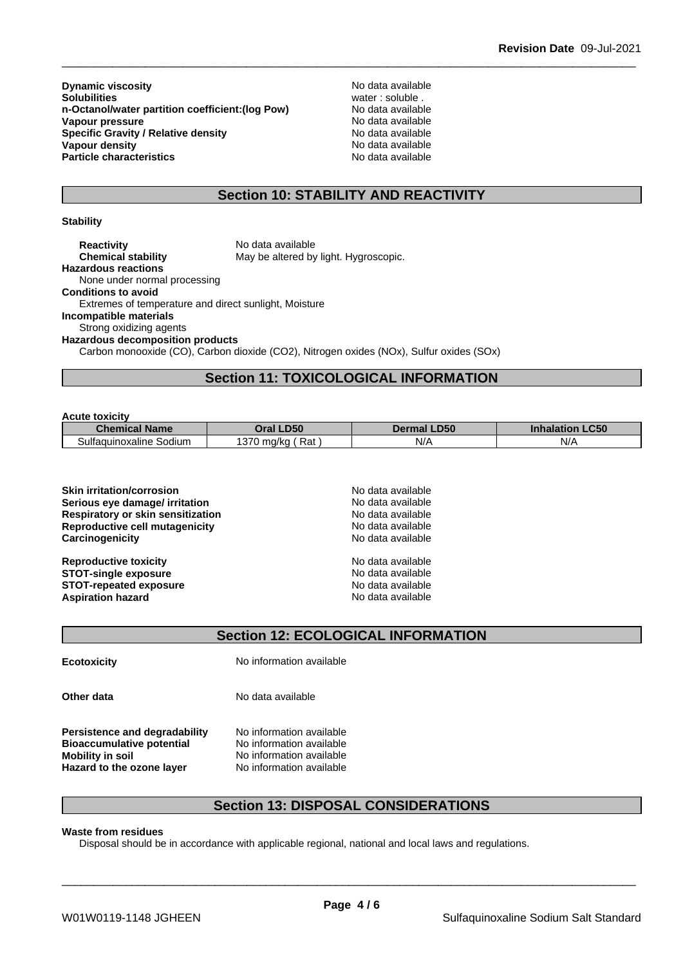**Dynamic viscosity**<br> **Solubilities**<br> **Solubilities**<br> **Solubilities n-Octanol/water partition coefficient:(log Pow) No data available<br>
<b>Vapour pressure** No data available **Vapour pressure**<br> **Specific Gravity / Relative density**<br> **Specific Gravity / Relative density**<br> **No data available Specific Gravity / Relative density<br>Vapour density Particle characteristics** No data available

water : soluble .<br>No data available **No data available** 

## **Section 10: STABILITY AND REACTIVITY**

#### **Stability**

| <b>Reactivity</b>                                     | No data available                                                                               |  |
|-------------------------------------------------------|-------------------------------------------------------------------------------------------------|--|
| <b>Chemical stability</b>                             | May be altered by light. Hygroscopic.                                                           |  |
| <b>Hazardous reactions</b>                            |                                                                                                 |  |
| None under normal processing                          |                                                                                                 |  |
| <b>Conditions to avoid</b>                            |                                                                                                 |  |
| Extremes of temperature and direct sunlight, Moisture |                                                                                                 |  |
| Incompatible materials                                |                                                                                                 |  |
| Strong oxidizing agents                               |                                                                                                 |  |
| <b>Hazardous decomposition products</b>               |                                                                                                 |  |
|                                                       | $O_2$ then means wide $(0.0)$ $O_2$ then discuss $(0.00)$ blissens evideo $(0.0)$ $O_2$ $(0.0)$ |  |

Carbon monooxide (CO), Carbon dioxide (CO2), Nitrogen oxides (NOx), Sulfur oxides (SOx)

## **Section 11: TOXICOLOGICAL INFORMATION**

#### **Acute toxicity**

| .                          |                                   |                       |                     |
|----------------------------|-----------------------------------|-----------------------|---------------------|
| <b>Chemical Name</b>       | I <sub>DE</sub>                   | <b>.D50</b><br>Dermal | $C^{\prime}$<br>.uu |
| Sodium<br>Sultaquinoxaline | Rat<br>$\sim$<br>. ∪ mɑ/k∩<br>. . | NI/<br>N/             | N/A                 |

**Section 12: ECOLOGICAL INFORMATION**

**Ecotoxicity** No information available

**Other data** No data available

**Persistence and degradability** No information available **Bioaccumulative potential** No information available **Mobility in soil**<br> **Hazard to the ozone laver** Mo information available **Hazard** to the ozone layer

## **Section 13: DISPOSAL CONSIDERATIONS**

#### **Waste from residues**

Disposal should be in accordance with applicable regional, national and local laws and regulations.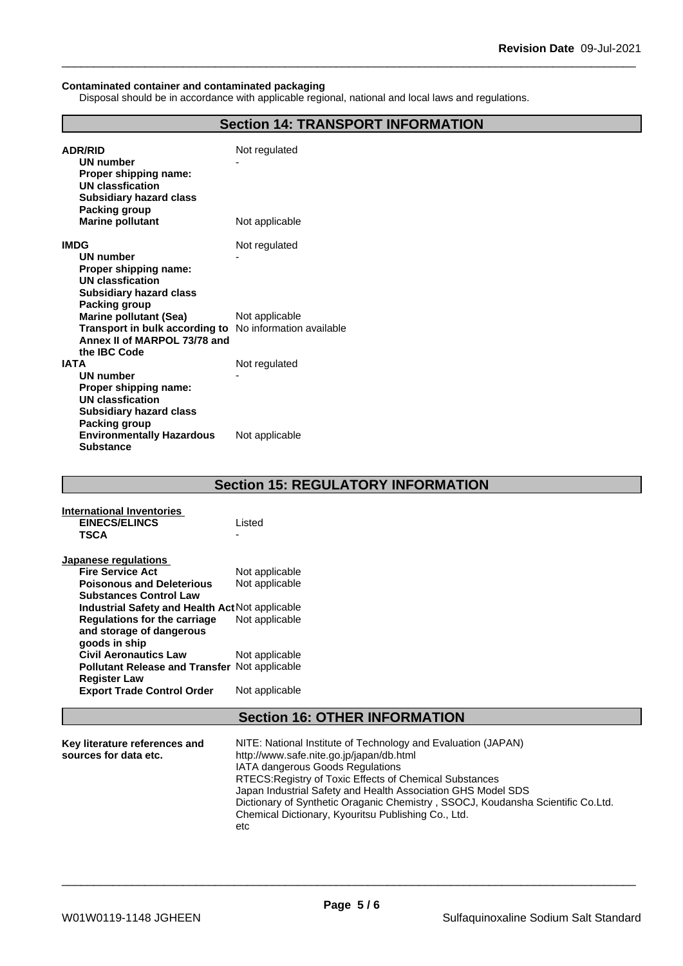#### **Contaminated container and contaminated packaging**

Disposal should be in accordance with applicable regional, national and local laws and regulations.

| <b>Section 14: TRANSPORT INFORMATION</b>     |                          |  |
|----------------------------------------------|--------------------------|--|
| <b>ADR/RID</b>                               | Not regulated            |  |
| <b>UN number</b>                             |                          |  |
| Proper shipping name:                        |                          |  |
| <b>UN classfication</b>                      |                          |  |
| <b>Subsidiary hazard class</b>               |                          |  |
| Packing group                                |                          |  |
| <b>Marine pollutant</b>                      | Not applicable           |  |
| <b>IMDG</b>                                  | Not regulated            |  |
| UN number                                    |                          |  |
| Proper shipping name:                        |                          |  |
| <b>UN classfication</b>                      |                          |  |
| <b>Subsidiary hazard class</b>               |                          |  |
| <b>Packing group</b>                         |                          |  |
| <b>Marine pollutant (Sea)</b>                | Not applicable           |  |
| Transport in bulk according to               | No information available |  |
| Annex II of MARPOL 73/78 and<br>the IBC Code |                          |  |
| <b>IATA</b>                                  | Not regulated            |  |
| <b>UN number</b>                             |                          |  |
| Proper shipping name:                        |                          |  |
| <b>UN classfication</b>                      |                          |  |
| <b>Subsidiary hazard class</b>               |                          |  |
| <b>Packing group</b>                         |                          |  |
| <b>Environmentally Hazardous</b>             | Not applicable           |  |
| <b>Substance</b>                             |                          |  |
|                                              |                          |  |

## **Section 15: REGULATORY INFORMATION**

| International Inventories<br><b>EINECS/ELINCS</b><br><b>TSCA</b> | Listed         |
|------------------------------------------------------------------|----------------|
| Japanese regulations                                             |                |
| <b>Fire Service Act</b>                                          | Not applicable |
| <b>Poisonous and Deleterious</b>                                 | Not applicable |
| <b>Substances Control Law</b>                                    |                |
| Industrial Safety and Health Act Not applicable                  |                |
| Regulations for the carriage                                     | Not applicable |
| and storage of dangerous                                         |                |
| goods in ship                                                    |                |
| <b>Civil Aeronautics Law</b>                                     | Not applicable |
| <b>Pollutant Release and Transfer Not applicable</b>             |                |
| <b>Register Law</b>                                              |                |
| <b>Export Trade Control Order</b>                                | Not applicable |

## **Section 16: OTHER INFORMATION**

| Key literature references and | NITE: National Institute of Technology and Evaluation (JAPAN)                   |
|-------------------------------|---------------------------------------------------------------------------------|
| sources for data etc.         | http://www.safe.nite.go.jp/japan/db.html                                        |
|                               | IATA dangerous Goods Regulations                                                |
|                               | RTECS: Registry of Toxic Effects of Chemical Substances                         |
|                               | Japan Industrial Safety and Health Association GHS Model SDS                    |
|                               | Dictionary of Synthetic Oraganic Chemistry, SSOCJ, Koudansha Scientific Co.Ltd. |
|                               | Chemical Dictionary, Kyouritsu Publishing Co., Ltd.                             |
|                               | etc                                                                             |